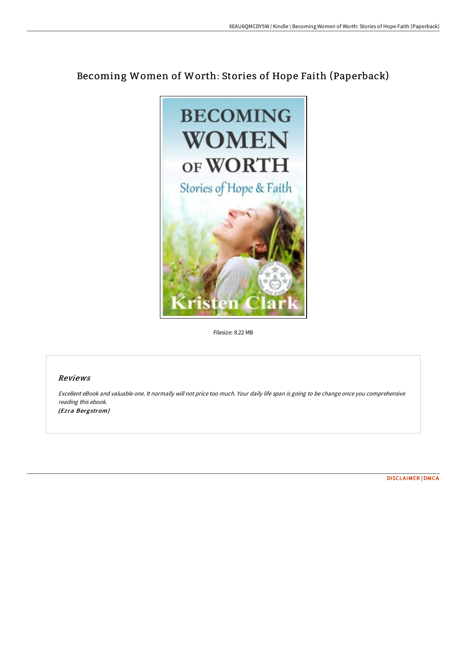# Becoming Women of Worth: Stories of Hope Faith (Paperback)



Filesize: 8.22 MB

### Reviews

Excellent eBook and valuable one. It normally will not price too much. Your daily life span is going to be change once you comprehensive reading this ebook. (Ezra Bergstrom)

[DISCLAIMER](http://albedo.media/disclaimer.html) | [DMCA](http://albedo.media/dmca.html)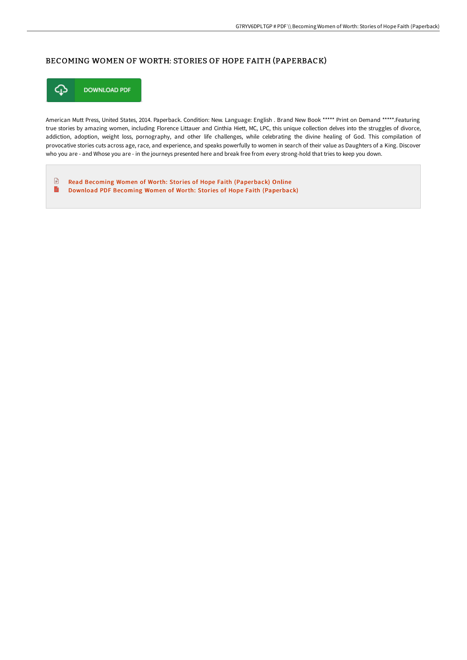## BECOMING WOMEN OF WORTH: STORIES OF HOPE FAITH (PAPERBACK)



American Mutt Press, United States, 2014. Paperback. Condition: New. Language: English . Brand New Book \*\*\*\*\* Print on Demand \*\*\*\*\*.Featuring true stories by amazing women, including Florence Littauer and Cinthia Hiett, MC, LPC, this unique collection delves into the struggles of divorce, addiction, adoption, weight loss, pornography, and other life challenges, while celebrating the divine healing of God. This compilation of provocative stories cuts across age, race, and experience, and speaks powerfully to women in search of their value as Daughters of a King. Discover who you are - and Whose you are - in the journeys presented here and break free from every strong-hold that tries to keep you down.

 $\mathbf{F}$ Read Becoming Women of Worth: Stories of Hope Faith [\(Paperback\)](http://albedo.media/becoming-women-of-worth-stories-of-hope-faith-pa.html) Online  $\blacksquare$ Download PDF Becoming Women of Worth: Stories of Hope Faith [\(Paperback\)](http://albedo.media/becoming-women-of-worth-stories-of-hope-faith-pa.html)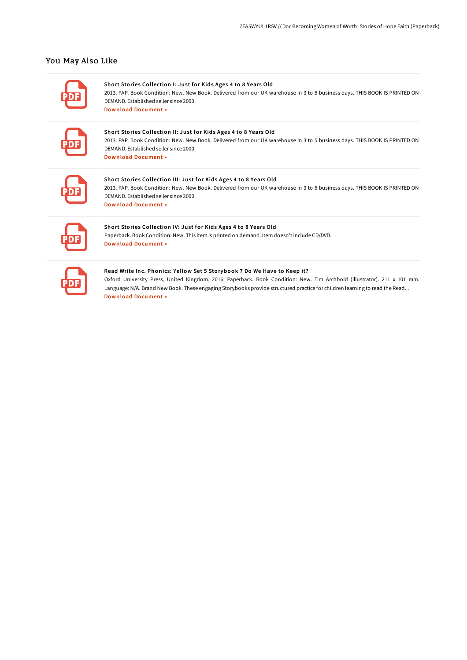## You May Also Like

Short Stories Collection I: Just for Kids Ages 4 to 8 Years Old

2013. PAP. Book Condition: New. New Book. Delivered from our UK warehouse in 3 to 5 business days. THIS BOOK IS PRINTED ON DEMAND. Established seller since 2000. Download [Document](http://albedo.media/short-stories-collection-i-just-for-kids-ages-4-.html) »

#### Short Stories Collection II: Just for Kids Ages 4 to 8 Years Old

2013. PAP. Book Condition: New. New Book. Delivered from our UK warehouse in 3 to 5 business days. THIS BOOK IS PRINTED ON DEMAND. Established seller since 2000. Download [Document](http://albedo.media/short-stories-collection-ii-just-for-kids-ages-4.html) »

#### Short Stories Collection III: Just for Kids Ages 4 to 8 Years Old

2013. PAP. Book Condition: New. New Book. Delivered from our UK warehouse in 3 to 5 business days. THIS BOOK IS PRINTED ON DEMAND. Established seller since 2000. Download [Document](http://albedo.media/short-stories-collection-iii-just-for-kids-ages-.html) »

## Short Stories Collection IV: Just for Kids Ages 4 to 8 Years Old

Paperback. Book Condition: New. This item is printed on demand. Item doesn't include CD/DVD. Download [Document](http://albedo.media/short-stories-collection-iv-just-for-kids-ages-4.html) »

#### Read Write Inc. Phonics: Yellow Set 5 Storybook 7 Do We Have to Keep it?

Oxford University Press, United Kingdom, 2016. Paperback. Book Condition: New. Tim Archbold (illustrator). 211 x 101 mm. Language: N/A. Brand New Book. These engaging Storybooks provide structured practice for children learning to read the Read... Download [Document](http://albedo.media/read-write-inc-phonics-yellow-set-5-storybook-7-.html) »